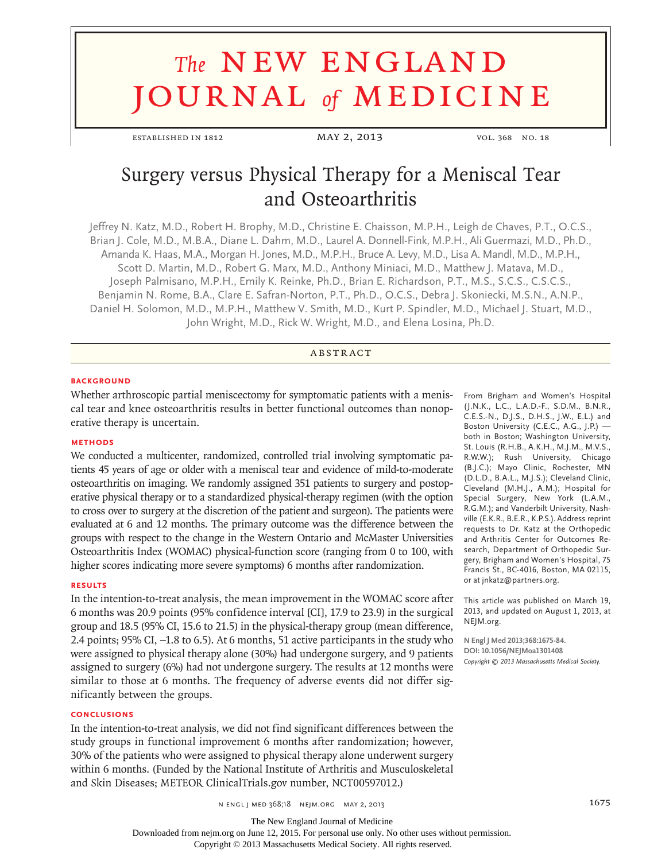# **The NEW ENGLAND** journal *of* medicine

established in 1812 **MAY 2, 2013** vol. 368 no. 18

# Surgery versus Physical Therapy for a Meniscal Tear and Osteoarthritis

Jeffrey N. Katz, M.D., Robert H. Brophy, M.D., Christine E. Chaisson, M.P.H., Leigh de Chaves, P.T., O.C.S., Brian J. Cole, M.D., M.B.A., Diane L. Dahm, M.D., Laurel A. Donnell-Fink, M.P.H., Ali Guermazi, M.D., Ph.D., Amanda K. Haas, M.A., Morgan H. Jones, M.D., M.P.H., Bruce A. Levy, M.D., Lisa A. Mandl, M.D., M.P.H., Scott D. Martin, M.D., Robert G. Marx, M.D., Anthony Miniaci, M.D., Matthew J. Matava, M.D., Joseph Palmisano, M.P.H., Emily K. Reinke, Ph.D., Brian E. Richardson, P.T., M.S., S.C.S., C.S.C.S., Benjamin N. Rome, B.A., Clare E. Safran-Norton, P.T., Ph.D., O.C.S., Debra J. Skoniecki, M.S.N., A.N.P., Daniel H. Solomon, M.D., M.P.H., Matthew V. Smith, M.D., Kurt P. Spindler, M.D., Michael J. Stuart, M.D., John Wright, M.D., Rick W. Wright, M.D., and Elena Losina, Ph.D.

**ABSTRACT** 

#### **BACKGROUND**

Whether arthroscopic partial meniscectomy for symptomatic patients with a meniscal tear and knee osteoarthritis results in better functional outcomes than nonoperative therapy is uncertain.

# **Methods**

We conducted a multicenter, randomized, controlled trial involving symptomatic patients 45 years of age or older with a meniscal tear and evidence of mild-to-moderate osteoarthritis on imaging. We randomly assigned 351 patients to surgery and postoperative physical therapy or to a standardized physical-therapy regimen (with the option to cross over to surgery at the discretion of the patient and surgeon). The patients were evaluated at 6 and 12 months. The primary outcome was the difference between the groups with respect to the change in the Western Ontario and McMaster Universities Osteoarthritis Index (WOMAC) physical-function score (ranging from 0 to 100, with higher scores indicating more severe symptoms) 6 months after randomization.

#### **Results**

In the intention-to-treat analysis, the mean improvement in the WOMAC score after 6 months was 20.9 points (95% confidence interval [CI], 17.9 to 23.9) in the surgical group and 18.5 (95% CI, 15.6 to 21.5) in the physical-therapy group (mean difference, 2.4 points; 95% CI, −1.8 to 6.5). At 6 months, 51 active participants in the study who were assigned to physical therapy alone (30%) had undergone surgery, and 9 patients assigned to surgery (6%) had not undergone surgery. The results at 12 months were similar to those at 6 months. The frequency of adverse events did not differ significantly between the groups.

#### **Conclusions**

In the intention-to-treat analysis, we did not find significant differences between the study groups in functional improvement 6 months after randomization; however, 30% of the patients who were assigned to physical therapy alone underwent surgery within 6 months. (Funded by the National Institute of Arthritis and Musculoskeletal and Skin Diseases; METEOR ClinicalTrials.gov number, NCT00597012.)

From Brigham and Women's Hospital (J.N.K., L.C., L.A.D.-F., S.D.M., B.N.R., C.E.S.-N., D.J.S., D.H.S., J.W., E.L.) and Boston University (C.E.C., A.G., J.P.) both in Boston; Washington University, St. Louis (R.H.B., A.K.H., M.J.M., M.V.S., R.W.W.); Rush University, Chicago (B.J.C.); Mayo Clinic, Rochester, MN (D.L.D., B.A.L., M.J.S.); Cleveland Clinic, Cleveland (M.H.J., A.M.); Hospital for Special Surgery, New York (L.A.M., R.G.M.); and Vanderbilt University, Nashville (E.K.R., B.E.R., K.P.S.). Address reprint requests to Dr. Katz at the Orthopedic and Arthritis Center for Outcomes Research, Department of Orthopedic Surgery, Brigham and Women's Hospital, 75 Francis St., BC-4016, Boston, MA 02115, or at jnkatz@partners.org.

This article was published on March 19, 2013, and updated on August 1, 2013, at NEJM.org.

**N Engl J Med 2013;368:1675-84. DOI: 10.1056/NEJMoa1301408** *Copyright © 2013 Massachusetts Medical Society.*

n engl j med 368;18 nejm.org may 2, 2013 1675

The New England Journal of Medicine

Downloaded from nejm.org on June 12, 2015. For personal use only. No other uses without permission.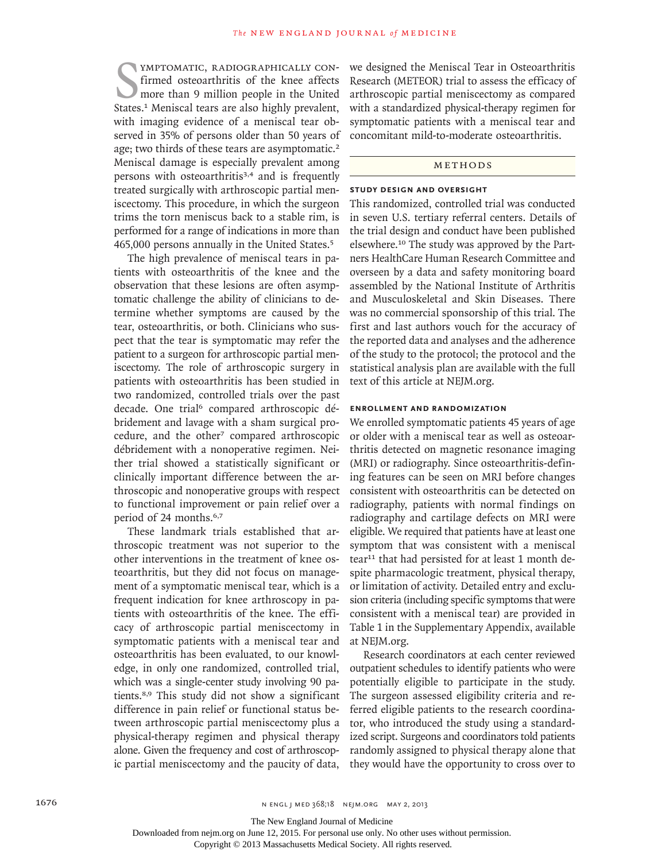STATE THE STATE CONFIDENTIC AND STATE OF STATE OF STATE SHOWS THE UNION STATE STATE STATE STATE STATE STATE STATE STATE STATE STATE STATE STATE STATE STATE STATE STATE STATE STATE STATE STATE STATE STATE STATE STATE STATE ymptomatic, radiographically confirmed osteoarthritis of the knee affects more than 9 million people in the United with imaging evidence of a meniscal tear observed in 35% of persons older than 50 years of age; two thirds of these tears are asymptomatic.<sup>2</sup> Meniscal damage is especially prevalent among persons with osteoarthritis<sup>3,4</sup> and is frequently treated surgically with arthroscopic partial meniscectomy. This procedure, in which the surgeon trims the torn meniscus back to a stable rim, is performed for a range of indications in more than 465,000 persons annually in the United States.<sup>5</sup>

The high prevalence of meniscal tears in patients with osteoarthritis of the knee and the observation that these lesions are often asymptomatic challenge the ability of clinicians to determine whether symptoms are caused by the tear, osteoarthritis, or both. Clinicians who suspect that the tear is symptomatic may refer the patient to a surgeon for arthroscopic partial meniscectomy. The role of arthroscopic surgery in patients with osteoarthritis has been studied in two randomized, controlled trials over the past decade. One trial<sup>6</sup> compared arthroscopic débridement and lavage with a sham surgical procedure, and the other<sup>7</sup> compared arthroscopic débridement with a nonoperative regimen. Neither trial showed a statistically significant or clinically important difference between the arthroscopic and nonoperative groups with respect to functional improvement or pain relief over a period of 24 months.<sup>6,7</sup>

These landmark trials established that arthroscopic treatment was not superior to the other interventions in the treatment of knee osteoarthritis, but they did not focus on management of a symptomatic meniscal tear, which is a frequent indication for knee arthroscopy in patients with osteoarthritis of the knee. The efficacy of arthroscopic partial meniscectomy in symptomatic patients with a meniscal tear and osteoarthritis has been evaluated, to our knowledge, in only one randomized, controlled trial, which was a single-center study involving 90 patients.8,9 This study did not show a significant difference in pain relief or functional status between arthroscopic partial meniscectomy plus a physical-therapy regimen and physical therapy alone. Given the frequency and cost of arthroscopic partial meniscectomy and the paucity of data,

we designed the Meniscal Tear in Osteoarthritis Research (METEOR) trial to assess the efficacy of arthroscopic partial meniscectomy as compared with a standardized physical-therapy regimen for symptomatic patients with a meniscal tear and concomitant mild-to-moderate osteoarthritis.

# METHODS

#### **Study Design and Oversight**

This randomized, controlled trial was conducted in seven U.S. tertiary referral centers. Details of the trial design and conduct have been published elsewhere.10 The study was approved by the Partners HealthCare Human Research Committee and overseen by a data and safety monitoring board assembled by the National Institute of Arthritis and Musculoskeletal and Skin Diseases. There was no commercial sponsorship of this trial. The first and last authors vouch for the accuracy of the reported data and analyses and the adherence of the study to the protocol; the protocol and the statistical analysis plan are available with the full text of this article at NEJM.org.

#### **Enrollment and Randomization**

We enrolled symptomatic patients 45 years of age or older with a meniscal tear as well as osteoarthritis detected on magnetic resonance imaging (MRI) or radiography. Since osteoarthritis-defining features can be seen on MRI before changes consistent with osteoarthritis can be detected on radiography, patients with normal findings on radiography and cartilage defects on MRI were eligible. We required that patients have at least one symptom that was consistent with a meniscal tear<sup>11</sup> that had persisted for at least 1 month despite pharmacologic treatment, physical therapy, or limitation of activity. Detailed entry and exclusion criteria (including specific symptoms that were consistent with a meniscal tear) are provided in Table 1 in the Supplementary Appendix, available at NEJM.org.

Research coordinators at each center reviewed outpatient schedules to identify patients who were potentially eligible to participate in the study. The surgeon assessed eligibility criteria and referred eligible patients to the research coordinator, who introduced the study using a standardized script. Surgeons and coordinators told patients randomly assigned to physical therapy alone that they would have the opportunity to cross over to

The New England Journal of Medicine

Downloaded from nejm.org on June 12, 2015. For personal use only. No other uses without permission.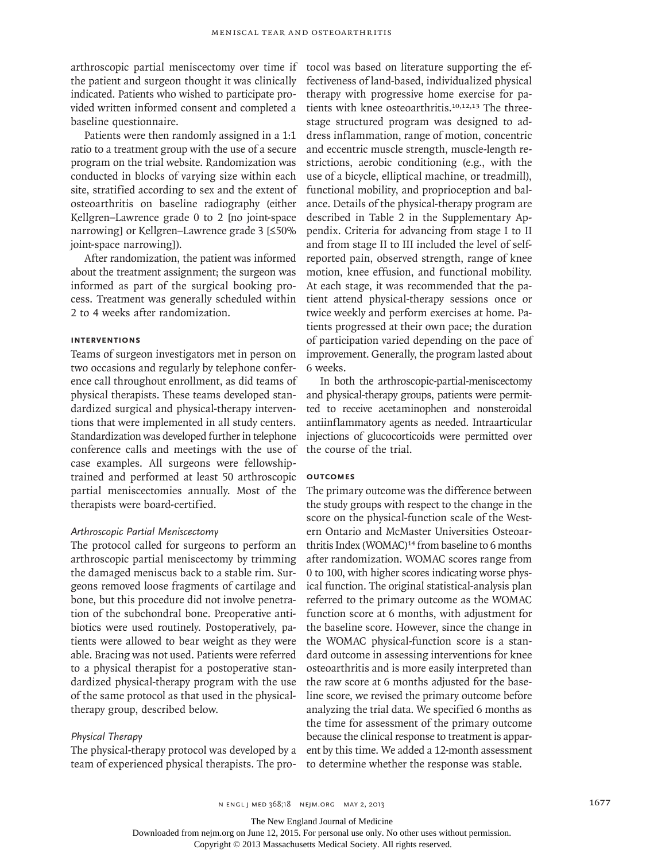arthroscopic partial meniscectomy over time if the patient and surgeon thought it was clinically indicated. Patients who wished to participate provided written informed consent and completed a baseline questionnaire.

Patients were then randomly assigned in a 1:1 ratio to a treatment group with the use of a secure program on the trial website. Randomization was conducted in blocks of varying size within each site, stratified according to sex and the extent of osteoarthritis on baseline radiography (either Kellgren–Lawrence grade 0 to 2 [no joint-space narrowing] or Kellgren–Lawrence grade 3 [≤50% joint-space narrowing]).

After randomization, the patient was informed about the treatment assignment; the surgeon was informed as part of the surgical booking process. Treatment was generally scheduled within 2 to 4 weeks after randomization.

# **Interventions**

Teams of surgeon investigators met in person on two occasions and regularly by telephone conference call throughout enrollment, as did teams of physical therapists. These teams developed standardized surgical and physical-therapy interventions that were implemented in all study centers. Standardization was developed further in telephone conference calls and meetings with the use of case examples. All surgeons were fellowshiptrained and performed at least 50 arthroscopic partial meniscectomies annually. Most of the therapists were board-certified.

## *Arthroscopic Partial Meniscectomy*

The protocol called for surgeons to perform an arthroscopic partial meniscectomy by trimming the damaged meniscus back to a stable rim. Surgeons removed loose fragments of cartilage and bone, but this procedure did not involve penetration of the subchondral bone. Preoperative antibiotics were used routinely. Postoperatively, patients were allowed to bear weight as they were able. Bracing was not used. Patients were referred to a physical therapist for a postoperative standardized physical-therapy program with the use of the same protocol as that used in the physicaltherapy group, described below.

# *Physical Therapy*

The physical-therapy protocol was developed by a team of experienced physical therapists. The pro-

tocol was based on literature supporting the effectiveness of land-based, individualized physical therapy with progressive home exercise for patients with knee osteoarthritis.10,12,13 The threestage structured program was designed to address inflammation, range of motion, concentric and eccentric muscle strength, muscle-length restrictions, aerobic conditioning (e.g., with the use of a bicycle, elliptical machine, or treadmill), functional mobility, and proprioception and balance. Details of the physical-therapy program are described in Table 2 in the Supplementary Appendix. Criteria for advancing from stage I to II and from stage II to III included the level of selfreported pain, observed strength, range of knee motion, knee effusion, and functional mobility. At each stage, it was recommended that the patient attend physical-therapy sessions once or twice weekly and perform exercises at home. Patients progressed at their own pace; the duration of participation varied depending on the pace of improvement. Generally, the program lasted about 6 weeks.

In both the arthroscopic-partial-meniscectomy and physical-therapy groups, patients were permitted to receive acetaminophen and nonsteroidal antiinflammatory agents as needed. Intraarticular injections of glucocorticoids were permitted over the course of the trial.

# **Outcomes**

The primary outcome was the difference between the study groups with respect to the change in the score on the physical-function scale of the Western Ontario and McMaster Universities Osteoarthritis Index (WOMAC)<sup>14</sup> from baseline to 6 months after randomization. WOMAC scores range from 0 to 100, with higher scores indicating worse physical function. The original statistical-analysis plan referred to the primary outcome as the WOMAC function score at 6 months, with adjustment for the baseline score. However, since the change in the WOMAC physical-function score is a standard outcome in assessing interventions for knee osteoarthritis and is more easily interpreted than the raw score at 6 months adjusted for the baseline score, we revised the primary outcome before analyzing the trial data. We specified 6 months as the time for assessment of the primary outcome because the clinical response to treatment is apparent by this time. We added a 12-month assessment to determine whether the response was stable.

The New England Journal of Medicine

Downloaded from nejm.org on June 12, 2015. For personal use only. No other uses without permission.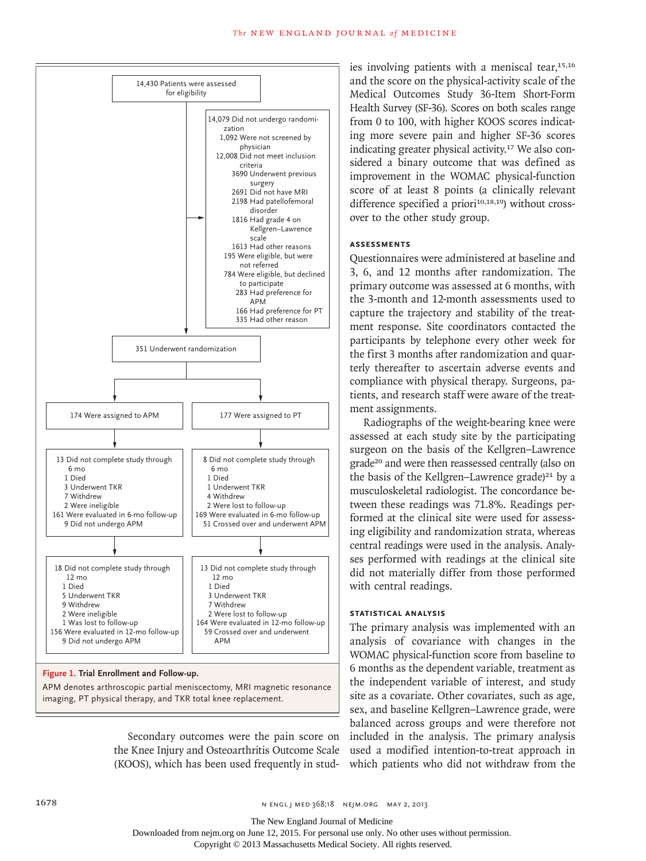

#### **Figure 1. Trial Enrollment and Follow-up.**

APM denotes arthroscopic partial meniscectomy, MRI magnetic resonance imaging, PT physical therapy, and TKR total knee replacement.

> Secondary outcomes were the pain score on the Knee Injury and Osteoarthritis Outcome Scale (KOOS), which has been used frequently in stud-

**SIZE**

ies involving patients with a meniscal tear,<sup>15,16</sup> and the score on the physical-activity scale of the Medical Outcomes Study 36-Item Short-Form Health Survey (SF-36). Scores on both scales range from 0 to 100, with higher KOOS scores indicating more severe pain and higher SF-36 scores indicating greater physical activity.17 We also considered a binary outcome that was defined as improvement in the WOMAC physical-function score of at least 8 points (a clinically relevant difference specified a priori $10,18,19)$  without crossover to the other study group.

#### **Assessments**

Questionnaires were administered at baseline and 3, 6, and 12 months after randomization. The primary outcome was assessed at 6 months, with the 3-month and 12-month assessments used to capture the trajectory and stability of the treatment response. Site coordinators contacted the participants by telephone every other week for the first 3 months after randomization and quarterly thereafter to ascertain adverse events and compliance with physical therapy. Surgeons, patients, and research staff were aware of the treatment assignments.

Radiographs of the weight-bearing knee were assessed at each study site by the participating surgeon on the basis of the Kellgren–Lawrence grade20 and were then reassessed centrally (also on the basis of the Kellgren–Lawrence grade) $^{21}$  by a musculoskeletal radiologist. The concordance between these readings was 71.8%. Readings performed at the clinical site were used for assessing eligibility and randomization strata, whereas central readings were used in the analysis. Analyses performed with readings at the clinical site did not materially differ from those performed with central readings.

# **Statistical Analysis**

The primary analysis was implemented with an analysis of covariance with changes in the WOMAC physical-function score from baseline to 6 months as the dependent variable, treatment as the independent variable of interest, and study site as a covariate. Other covariates, such as age, sex, and baseline Kellgren–Lawrence grade, were balanced across groups and were therefore not included in the analysis. The primary analysis used a modified intention-to-treat approach in which patients who did not withdraw from the

The New England Journal of Medicine

Downloaded from nejm.org on June 12, 2015. For personal use only. No other uses without permission.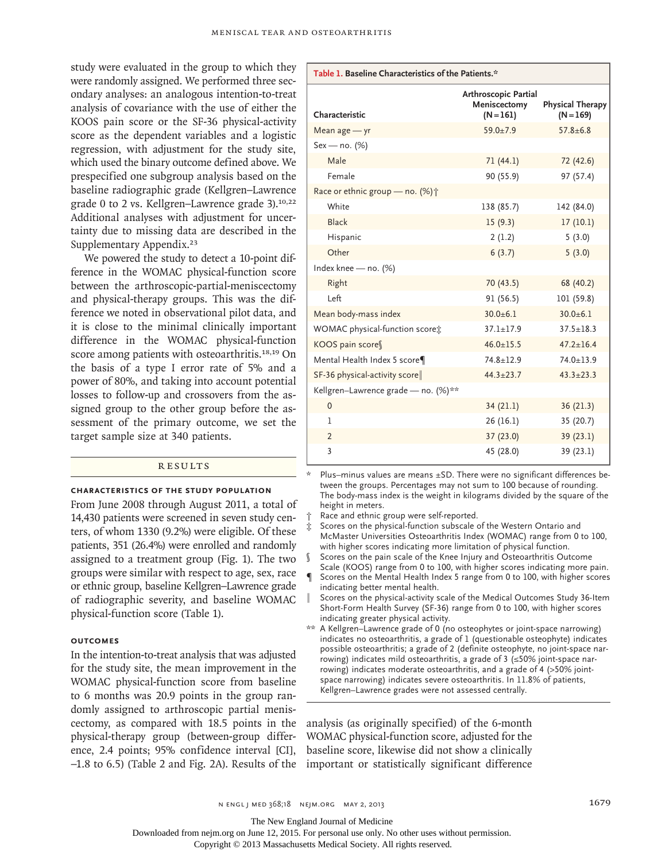study were evaluated in the group to which they were randomly assigned. We performed three secondary analyses: an analogous intention-to-treat analysis of covariance with the use of either the KOOS pain score or the SF-36 physical-activity score as the dependent variables and a logistic regression, with adjustment for the study site, which used the binary outcome defined above. We prespecified one subgroup analysis based on the baseline radiographic grade (Kellgren–Lawrence grade 0 to 2 vs. Kellgren–Lawrence grade 3).10,22 Additional analyses with adjustment for uncertainty due to missing data are described in the Supplementary Appendix.<sup>23</sup>

We powered the study to detect a 10-point difference in the WOMAC physical-function score between the arthroscopic-partial-meniscectomy and physical-therapy groups. This was the difference we noted in observational pilot data, and it is close to the minimal clinically important difference in the WOMAC physical-function score among patients with osteoarthritis.<sup>18,19</sup> On the basis of a type I error rate of 5% and a power of 80%, and taking into account potential losses to follow-up and crossovers from the assigned group to the other group before the assessment of the primary outcome, we set the target sample size at 340 patients.

#### **RESULTS**

# **Characteristics of the Study Population**

From June 2008 through August 2011, a total of 14,430 patients were screened in seven study centers, of whom 1330 (9.2%) were eligible. Of these patients, 351 (26.4%) were enrolled and randomly assigned to a treatment group (Fig. 1). The two groups were similar with respect to age, sex, race or ethnic group, baseline Kellgren–Lawrence grade of radiographic severity, and baseline WOMAC physical-function score (Table 1).

# **Outcomes**

In the intention-to-treat analysis that was adjusted for the study site, the mean improvement in the WOMAC physical-function score from baseline to 6 months was 20.9 points in the group randomly assigned to arthroscopic partial meniscectomy, as compared with 18.5 points in the physical-therapy group (between-group difference, 2.4 points; 95% confidence interval [CI], −1.8 to 6.5) (Table 2 and Fig. 2A). Results of the important or statistically significant difference

| Table 1. Baseline Characteristics of the Patients.* |                                                     |                                        |  |  |
|-----------------------------------------------------|-----------------------------------------------------|----------------------------------------|--|--|
| Characteristic                                      | Arthroscopic Partial<br>Meniscectomy<br>$(N = 161)$ | <b>Physical Therapy</b><br>$(N = 169)$ |  |  |
| Mean $age - yr$                                     | $59.0 + 7.9$                                        | $57.8 \pm 6.8$                         |  |  |
| $Sex - no.$ (%)                                     |                                                     |                                        |  |  |
| Male                                                | 71(44.1)                                            | 72(42.6)                               |  |  |
| Female                                              | 90 (55.9)                                           | 97 (57.4)                              |  |  |
| Race or ethnic group - no. (%) $\dagger$            |                                                     |                                        |  |  |
| White                                               | 138 (85.7)                                          | 142 (84.0)                             |  |  |
| <b>Black</b>                                        | 15(9.3)                                             | 17(10.1)                               |  |  |
| Hispanic                                            | 2(1.2)                                              | 5(3.0)                                 |  |  |
| Other                                               | 6(3.7)                                              | 5(3.0)                                 |  |  |
| Index knee - no. (%)                                |                                                     |                                        |  |  |
| Right                                               | 70 (43.5)                                           | 68 (40.2)                              |  |  |
| Left                                                | 91 (56.5)                                           | 101 (59.8)                             |  |  |
| Mean body-mass index                                | $30.0 + 6.1$                                        | $30.0 + 6.1$                           |  |  |
| WOMAC physical-function score:                      | $37.1 \pm 17.9$                                     | $37.5 \pm 18.3$                        |  |  |
| KOOS pain score                                     | $46.0 \pm 15.5$                                     | $47.2 \pm 16.4$                        |  |  |
| Mental Health Index 5 score                         | $74.8 + 12.9$                                       | $74.0 \pm 13.9$                        |  |  |
| SF-36 physical-activity score                       | $44.3 \pm 23.7$                                     | $43.3 \pm 23.3$                        |  |  |
| Kellgren-Lawrence grade - no. (%)**                 |                                                     |                                        |  |  |
| $\mathbf{0}$                                        | 34(21.1)                                            | 36(21.3)                               |  |  |
| 1                                                   | 26(16.1)                                            | 35 (20.7)                              |  |  |
| $\overline{2}$                                      | 37(23.0)                                            | 39(23.1)                               |  |  |
| 3                                                   | 45 (28.0)                                           | 39 (23.1)                              |  |  |

Plus–minus values are means  $\pm$ SD. There were no significant differences between the groups. Percentages may not sum to 100 because of rounding. The body-mass index is the weight in kilograms divided by the square of the height in meters.

- Race and ethnic group were self-reported.
- Scores on the physical-function subscale of the Western Ontario and McMaster Universities Osteoarthritis Index (WOMAC) range from 0 to 100, with higher scores indicating more limitation of physical function.

Scores on the pain scale of the Knee Injury and Osteoarthritis Outcome Scale (KOOS) range from 0 to 100, with higher scores indicating more pain.

- Scores on the Mental Health Index 5 range from 0 to 100, with higher scores indicating better mental health.
- Scores on the physical-activity scale of the Medical Outcomes Study 36-Item Short-Form Health Survey (SF-36) range from 0 to 100, with higher scores indicating greater physical activity.
- \*\* A Kellgren–Lawrence grade of 0 (no osteophytes or joint-space narrowing) indicates no osteoarthritis, a grade of 1 (questionable osteophyte) indicates possible osteoarthritis; a grade of 2 (definite osteophyte, no joint-space narrowing) indicates mild osteoarthritis, a grade of 3 (≤50% joint-space narrowing) indicates moderate osteoarthritis, and a grade of 4 (>50% jointspace narrowing) indicates severe osteoarthritis. In 11.8% of patients, Kellgren–Lawrence grades were not assessed centrally.

analysis (as originally specified) of the 6-month WOMAC physical-function score, adjusted for the baseline score, likewise did not show a clinically

n engl j med 368;18 nejm.org may 2, 2013 1679

The New England Journal of Medicine

Downloaded from nejm.org on June 12, 2015. For personal use only. No other uses without permission.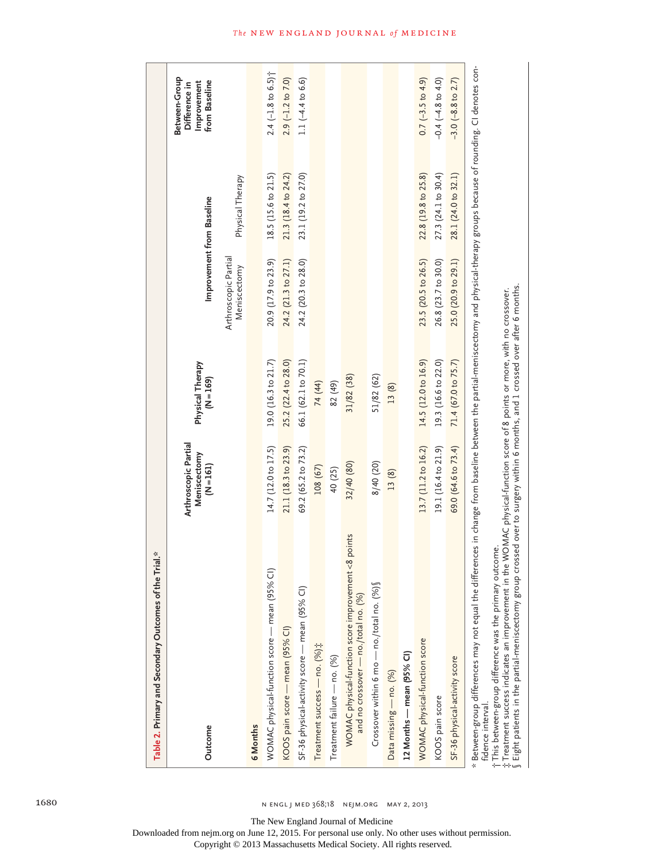| Trial.*<br>Table 2. Primary and Secondary Outcomes of the                                                                                                                                                                                                                                                                                                                                                                                              |                                                     |                                                                           |                                      |                     |                                                                       |
|--------------------------------------------------------------------------------------------------------------------------------------------------------------------------------------------------------------------------------------------------------------------------------------------------------------------------------------------------------------------------------------------------------------------------------------------------------|-----------------------------------------------------|---------------------------------------------------------------------------|--------------------------------------|---------------------|-----------------------------------------------------------------------|
| Outcome                                                                                                                                                                                                                                                                                                                                                                                                                                                | Arthroscopic Partial<br>Meniscectomy<br>$(N = 161)$ | Physical Therapy<br>$(N = 169)$                                           | Improvement from Baseline            |                     | Between-Group<br><b>From Baseline</b><br>Improvement<br>Difference in |
|                                                                                                                                                                                                                                                                                                                                                                                                                                                        |                                                     |                                                                           | Arthroscopic Partial<br>Meniscectomy | Physical Therapy    |                                                                       |
| 6 Months                                                                                                                                                                                                                                                                                                                                                                                                                                               |                                                     |                                                                           |                                      |                     |                                                                       |
| WOMAC physical-function score — mean (95% CI)                                                                                                                                                                                                                                                                                                                                                                                                          | 14.7 (12.0 to 17.5)                                 | 19.0 (16.3 to 21.7)                                                       | 20.9 (17.9 to 23.9)                  | 18.5 (15.6 to 21.5) | $2.4$ (-1.8 to 6.5) $\uparrow$                                        |
| KOOS pain score — mean (95% CI)                                                                                                                                                                                                                                                                                                                                                                                                                        | 21.1 (18.3 to 23.9)                                 | 25.2 (22.4 to 28.0)                                                       | 24.2 (21.3 to 27.1)                  | 21.3 (18.4 to 24.2) | $2.9$ (-1.2 to 7.0)                                                   |
| SF-36 physical-activity score — mean (95% CI)                                                                                                                                                                                                                                                                                                                                                                                                          | 69.2 (65.2 to 73.2)                                 | 66.1 (62.1 to 70.1)                                                       | 24.2 (20.3 to 28.0)                  | 23.1 (19.2 to 27.0) | $1.1 (-4.4 to 6.6)$                                                   |
| Treatment success - no. (%) #                                                                                                                                                                                                                                                                                                                                                                                                                          | 108 (67)                                            | 74 (44)                                                                   |                                      |                     |                                                                       |
| Treatment failure - no. (%)                                                                                                                                                                                                                                                                                                                                                                                                                            | 40 (25)                                             | 82 (49)                                                                   |                                      |                     |                                                                       |
| WOMAC physical-function score improvement <8 points<br>and no crossover — no./total no. (%)                                                                                                                                                                                                                                                                                                                                                            | 32/40 (80)                                          | 31/82 (38)                                                                |                                      |                     |                                                                       |
| Crossover within 6 mo — no./total no. (%)§                                                                                                                                                                                                                                                                                                                                                                                                             | 8/40 (20)                                           | 51/82 (62)                                                                |                                      |                     |                                                                       |
| Data missing - no. (%)                                                                                                                                                                                                                                                                                                                                                                                                                                 | 13(8)                                               | 13 (8)                                                                    |                                      |                     |                                                                       |
| 12 Months — mean (95% CI)                                                                                                                                                                                                                                                                                                                                                                                                                              |                                                     |                                                                           |                                      |                     |                                                                       |
| WOMAC physical-function score                                                                                                                                                                                                                                                                                                                                                                                                                          | 13.7 (11.2 to 16.2)                                 | 14.5 (12.0 to 16.9)                                                       | 23.5 (20.5 to 26.5)                  | 22.8 (19.8 to 25.8) | $0.7 (-3.5 to 4.9)$                                                   |
| KOOS pain score                                                                                                                                                                                                                                                                                                                                                                                                                                        | 19.1 (16.4 to 21.9)                                 | 19.3 (16.6 to 22.0)                                                       | 26.8 (23.7 to 30.0)                  | 27.3 (24.1 to 30.4) | $-0.4 (-4.8 \text{ to } 4.0)$                                         |
| SF-36 physical-activity score                                                                                                                                                                                                                                                                                                                                                                                                                          | 69.0 (64.6 to 73.4)                                 | 71.4 (67.0 to 75.7)                                                       | 25.0 (20.9 to 29.1)                  | 28.1 (24.0 to 32.1) | $-3.0$ $(-8.8$ to 2.7)                                                |
| * Between-group differences may not equal the differences in change from baseline between the partial-meniscectomy and physical-therapy groups because of rounding. CI denotes con-<br>Eight patients in the partial-meniscectomy group crossed over to surgery within 6 months, and 1 crossed over after 6 months.<br>¡This between-group difference was the primary outcome.<br># Treatment success indicates an improvement in<br>fidence interval. |                                                     | the WOMAC physical-function score of 8 points or more, with no crossover. |                                      |                     |                                                                       |

1680 n engl j med 368;18 nejm.org may 2, 2013

The New England Journal of Medicine

Downloaded from nejm.org on June 12, 2015. For personal use only. No other uses without permission.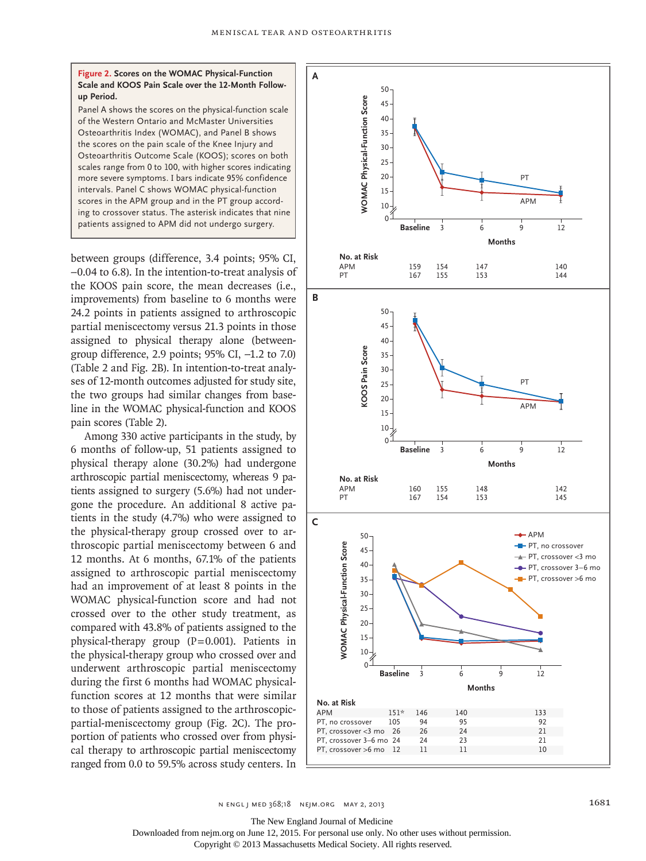**Figure 2. Scores on the WOMAC Physical-Function Scale and KOOS Pain Scale over the 12-Month Followup Period.**

Panel A shows the scores on the physical-function scale of the Western Ontario and McMaster Universities Osteoarthritis Index (WOMAC), and Panel B shows the scores on the pain scale of the Knee Injury and Osteoarthritis Outcome Scale (KOOS); scores on both scales range from 0 to 100, with higher scores indicating more severe symptoms. I bars indicate 95% confidence intervals. Panel C shows WOMAC physical-function scores in the APM group and in the PT group according to crossover status. The asterisk indicates that nine patients assigned to APM did not undergo surgery.

between groups (difference, 3.4 points; 95% CI, −0.04 to 6.8). In the intention-to-treat analysis of the KOOS pain score, the mean decreases (i.e., improvements) from baseline to 6 months were 24.2 points in patients assigned to arthroscopic partial meniscectomy versus 21.3 points in those assigned to physical therapy alone (betweengroup difference, 2.9 points; 95% CI, −1.2 to 7.0) (Table 2 and Fig. 2B). In intention-to-treat analyses of 12-month outcomes adjusted for study site, the two groups had similar changes from baseline in the WOMAC physical-function and KOOS pain scores (Table 2).

Among 330 active participants in the study, by 6 months of follow-up, 51 patients assigned to physical therapy alone (30.2%) had undergone arthroscopic partial meniscectomy, whereas 9 patients assigned to surgery (5.6%) had not undergone the procedure. An additional 8 active patients in the study (4.7%) who were assigned to the physical-therapy group crossed over to arthroscopic partial meniscectomy between 6 and 12 months. At 6 months, 67.1% of the patients assigned to arthroscopic partial meniscectomy had an improvement of at least 8 points in the WOMAC physical-function score and had not crossed over to the other study treatment, as compared with 43.8% of patients assigned to the physical-therapy group  $(P=0.001)$ . Patients in the physical-therapy group who crossed over and underwent arthroscopic partial meniscectomy during the first 6 months had WOMAC physicalfunction scores at 12 months that were similar to those of patients assigned to the arthroscopicpartial-meniscectomy group (Fig. 2C). The proportion of patients who crossed over from physical therapy to arthroscopic partial meniscectomy ranged from 0.0 to 59.5% across study centers. In



n engl j med 368;18 nejm.org may 2, 2013 1681

The New England Journal of Medicine

Downloaded from nejm.org on June 12, 2015. For personal use only. No other uses without permission.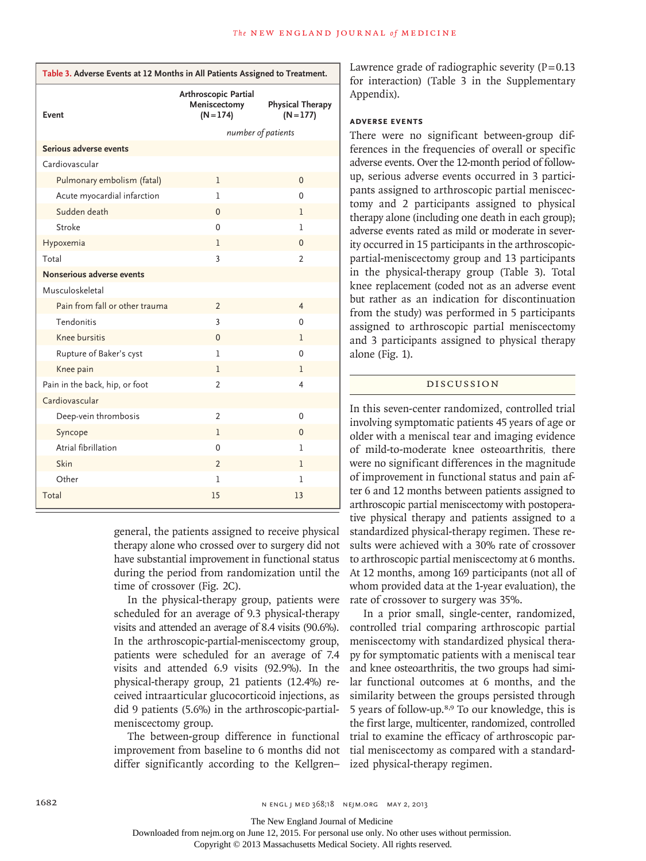| Table 3. Adverse Events at 12 Months in All Patients Assigned to Treatment. |                                                     |                                        |  |  |
|-----------------------------------------------------------------------------|-----------------------------------------------------|----------------------------------------|--|--|
| Event                                                                       | Arthroscopic Partial<br>Meniscectomy<br>$(N = 174)$ | <b>Physical Therapy</b><br>$(N = 177)$ |  |  |
|                                                                             | number of patients                                  |                                        |  |  |
| Serious adverse events                                                      |                                                     |                                        |  |  |
| Cardiovascular                                                              |                                                     |                                        |  |  |
| Pulmonary embolism (fatal)                                                  | 1                                                   | $\Omega$                               |  |  |
| Acute myocardial infarction                                                 | 1                                                   | 0                                      |  |  |
| Sudden death                                                                | $\mathbf{0}$                                        | 1                                      |  |  |
| Stroke                                                                      | 0                                                   | 1                                      |  |  |
| Hypoxemia                                                                   | 1                                                   | $\Omega$                               |  |  |
| Total                                                                       | 3                                                   | $\overline{2}$                         |  |  |
| Nonserious adverse events                                                   |                                                     |                                        |  |  |
| Musculoskeletal                                                             |                                                     |                                        |  |  |
| Pain from fall or other trauma                                              | $\overline{2}$                                      | $\overline{4}$                         |  |  |
| Tendonitis                                                                  | 3                                                   | $\mathbf 0$                            |  |  |
| Knee bursitis                                                               | $\mathbf{0}$                                        | 1                                      |  |  |
| Rupture of Baker's cyst                                                     | 1                                                   | 0                                      |  |  |
| Knee pain                                                                   | 1                                                   | 1                                      |  |  |
| Pain in the back, hip, or foot                                              | $\overline{2}$                                      | 4                                      |  |  |
| Cardiovascular                                                              |                                                     |                                        |  |  |
| Deep-vein thrombosis                                                        | 2                                                   | 0                                      |  |  |
| Syncope                                                                     | 1                                                   | $\Omega$                               |  |  |
| Atrial fibrillation                                                         | 0                                                   | 1                                      |  |  |
| Skin                                                                        | $\overline{2}$                                      | 1                                      |  |  |
| Other                                                                       | l                                                   | 1                                      |  |  |
| Total                                                                       | 15                                                  | 13                                     |  |  |

general, the patients assigned to receive physical therapy alone who crossed over to surgery did not have substantial improvement in functional status during the period from randomization until the time of crossover (Fig. 2C).

In the physical-therapy group, patients were scheduled for an average of 9.3 physical-therapy visits and attended an average of 8.4 visits (90.6%). In the arthroscopic-partial-meniscectomy group, patients were scheduled for an average of 7.4 visits and attended 6.9 visits (92.9%). In the physical-therapy group, 21 patients (12.4%) received intraarticular glucocorticoid injections, as did 9 patients (5.6%) in the arthroscopic-partialmeniscectomy group.

The between-group difference in functional improvement from baseline to 6 months did not differ significantly according to the Kellgren– Lawrence grade of radiographic severity  $(P=0.13)$ for interaction) (Table 3 in the Supplementary Appendix).

#### **Adverse Events**

There were no significant between-group differences in the frequencies of overall or specific adverse events. Over the 12-month period of followup, serious adverse events occurred in 3 participants assigned to arthroscopic partial meniscectomy and 2 participants assigned to physical therapy alone (including one death in each group); adverse events rated as mild or moderate in severity occurred in 15 participants in the arthroscopicpartial-meniscectomy group and 13 participants in the physical-therapy group (Table 3). Total knee replacement (coded not as an adverse event but rather as an indication for discontinuation from the study) was performed in 5 participants assigned to arthroscopic partial meniscectomy and 3 participants assigned to physical therapy alone (Fig. 1).

#### Discussion

In this seven-center randomized, controlled trial involving symptomatic patients 45 years of age or older with a meniscal tear and imaging evidence of mild-to-moderate knee osteoarthritis, there were no significant differences in the magnitude of improvement in functional status and pain after 6 and 12 months between patients assigned to arthroscopic partial meniscectomy with postoperative physical therapy and patients assigned to a standardized physical-therapy regimen. These results were achieved with a 30% rate of crossover to arthroscopic partial meniscectomy at 6 months. At 12 months, among 169 participants (not all of whom provided data at the 1-year evaluation), the rate of crossover to surgery was 35%.

In a prior small, single-center, randomized, controlled trial comparing arthroscopic partial meniscectomy with standardized physical therapy for symptomatic patients with a meniscal tear and knee osteoarthritis, the two groups had similar functional outcomes at 6 months, and the similarity between the groups persisted through 5 years of follow-up.8,9 To our knowledge, this is the first large, multicenter, randomized, controlled trial to examine the efficacy of arthroscopic partial meniscectomy as compared with a standardized physical-therapy regimen.

The New England Journal of Medicine

Downloaded from nejm.org on June 12, 2015. For personal use only. No other uses without permission.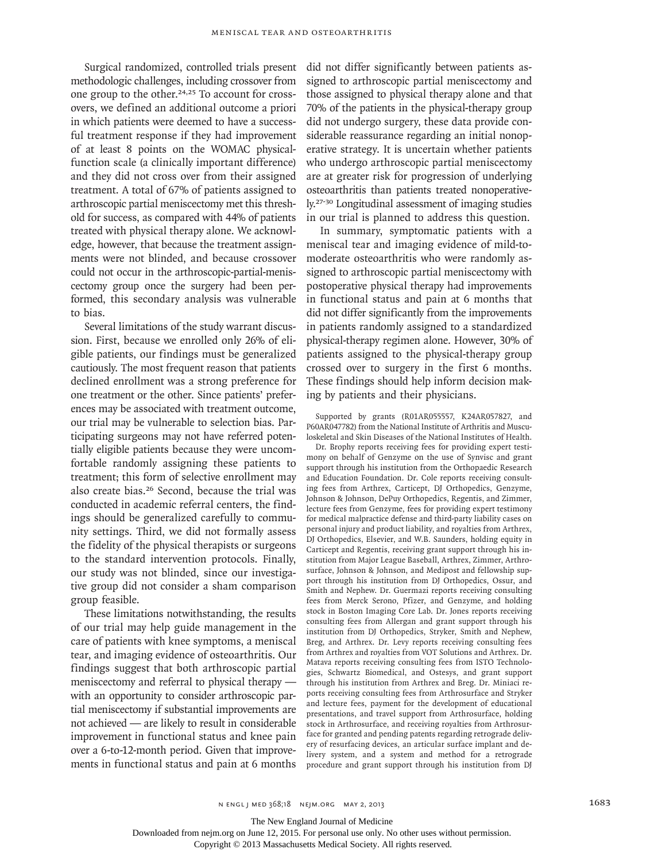Surgical randomized, controlled trials present methodologic challenges, including crossover from one group to the other.24,25 To account for crossovers, we defined an additional outcome a priori in which patients were deemed to have a successful treatment response if they had improvement of at least 8 points on the WOMAC physicalfunction scale (a clinically important difference) and they did not cross over from their assigned treatment. A total of 67% of patients assigned to arthroscopic partial meniscectomy met this threshold for success, as compared with 44% of patients treated with physical therapy alone. We acknowledge, however, that because the treatment assignments were not blinded, and because crossover could not occur in the arthroscopic-partial-meniscectomy group once the surgery had been performed, this secondary analysis was vulnerable to bias.

Several limitations of the study warrant discussion. First, because we enrolled only 26% of eligible patients, our findings must be generalized cautiously. The most frequent reason that patients declined enrollment was a strong preference for one treatment or the other. Since patients' preferences may be associated with treatment outcome, our trial may be vulnerable to selection bias. Participating surgeons may not have referred potentially eligible patients because they were uncomfortable randomly assigning these patients to treatment; this form of selective enrollment may also create bias.26 Second, because the trial was conducted in academic referral centers, the findings should be generalized carefully to community settings. Third, we did not formally assess the fidelity of the physical therapists or surgeons to the standard intervention protocols. Finally, our study was not blinded, since our investigative group did not consider a sham comparison group feasible.

These limitations notwithstanding, the results of our trial may help guide management in the care of patients with knee symptoms, a meniscal tear, and imaging evidence of osteoarthritis. Our findings suggest that both arthroscopic partial meniscectomy and referral to physical therapy with an opportunity to consider arthroscopic partial meniscectomy if substantial improvements are not achieved — are likely to result in considerable improvement in functional status and knee pain over a 6-to-12-month period. Given that improvements in functional status and pain at 6 months did not differ significantly between patients assigned to arthroscopic partial meniscectomy and those assigned to physical therapy alone and that 70% of the patients in the physical-therapy group did not undergo surgery, these data provide considerable reassurance regarding an initial nonoperative strategy. It is uncertain whether patients who undergo arthroscopic partial meniscectomy are at greater risk for progression of underlying osteoarthritis than patients treated nonoperatively.27-30 Longitudinal assessment of imaging studies in our trial is planned to address this question.

In summary, symptomatic patients with a meniscal tear and imaging evidence of mild-tomoderate osteoarthritis who were randomly assigned to arthroscopic partial meniscectomy with postoperative physical therapy had improvements in functional status and pain at 6 months that did not differ significantly from the improvements in patients randomly assigned to a standardized physical-therapy regimen alone. However, 30% of patients assigned to the physical-therapy group crossed over to surgery in the first 6 months. These findings should help inform decision making by patients and their physicians.

Supported by grants (R01AR055557, K24AR057827, and P60AR047782) from the National Institute of Arthritis and Musculoskeletal and Skin Diseases of the National Institutes of Health.

Dr. Brophy reports receiving fees for providing expert testimony on behalf of Genzyme on the use of Synvisc and grant support through his institution from the Orthopaedic Research and Education Foundation. Dr. Cole reports receiving consulting fees from Arthrex, Carticept, DJ Orthopedics, Genzyme, Johnson & Johnson, DePuy Orthopedics, Regentis, and Zimmer, lecture fees from Genzyme, fees for providing expert testimony for medical malpractice defense and third-party liability cases on personal injury and product liability, and royalties from Arthrex, DJ Orthopedics, Elsevier, and W.B. Saunders, holding equity in Carticept and Regentis, receiving grant support through his institution from Major League Baseball, Arthrex, Zimmer, Arthrosurface, Johnson & Johnson, and Medipost and fellowship support through his institution from DJ Orthopedics, Ossur, and Smith and Nephew. Dr. Guermazi reports receiving consulting fees from Merck Serono, Pfizer, and Genzyme, and holding stock in Boston Imaging Core Lab. Dr. Jones reports receiving consulting fees from Allergan and grant support through his institution from DJ Orthopedics, Stryker, Smith and Nephew, Breg, and Arthrex. Dr. Levy reports receiving consulting fees from Arthrex and royalties from VOT Solutions and Arthrex. Dr. Matava reports receiving consulting fees from ISTO Technologies, Schwartz Biomedical, and Ostesys, and grant support through his institution from Arthrex and Breg. Dr. Miniaci reports receiving consulting fees from Arthrosurface and Stryker and lecture fees, payment for the development of educational presentations, and travel support from Arthrosurface, holding stock in Arthrosurface, and receiving royalties from Arthrosurface for granted and pending patents regarding retrograde delivery of resurfacing devices, an articular surface implant and delivery system, and a system and method for a retrograde procedure and grant support through his institution from DJ

The New England Journal of Medicine

Downloaded from nejm.org on June 12, 2015. For personal use only. No other uses without permission.